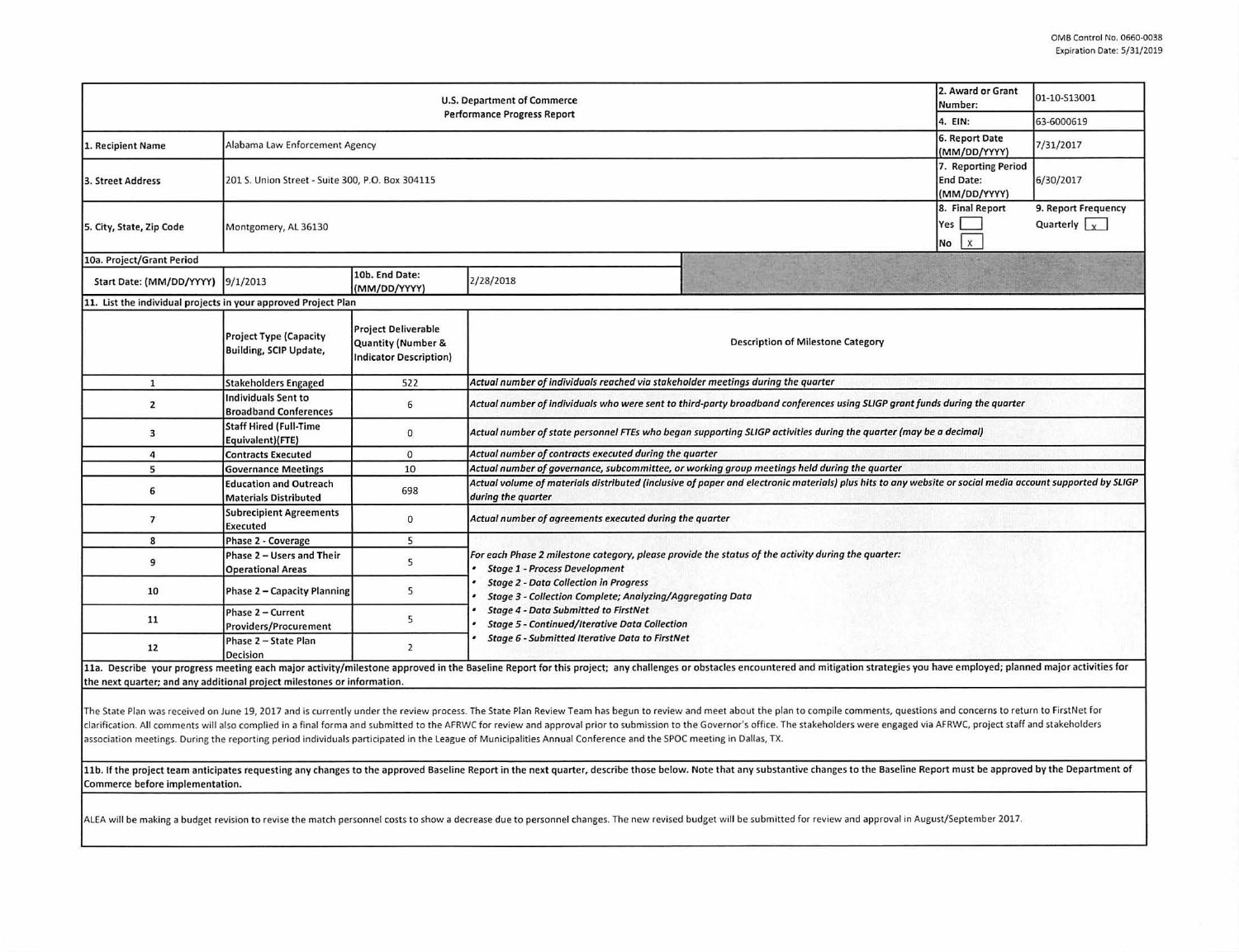| 2. Award or Grant<br><b>U.S. Department of Commerce</b><br><b>Performance Progress Report</b><br>4. EIN: |                                                                |                                                                                   |                                                                                                                                                                                                                                                                                                                                                                |  |                                                  | 01-10-S13001                                |  |  |  |
|----------------------------------------------------------------------------------------------------------|----------------------------------------------------------------|-----------------------------------------------------------------------------------|----------------------------------------------------------------------------------------------------------------------------------------------------------------------------------------------------------------------------------------------------------------------------------------------------------------------------------------------------------------|--|--------------------------------------------------|---------------------------------------------|--|--|--|
|                                                                                                          |                                                                |                                                                                   |                                                                                                                                                                                                                                                                                                                                                                |  |                                                  | 63-6000619                                  |  |  |  |
| 1. Recipient Name                                                                                        |                                                                | Alabama Law Enforcement Agency                                                    |                                                                                                                                                                                                                                                                                                                                                                |  |                                                  | 7/31/2017                                   |  |  |  |
| 3. Street Address                                                                                        | 201 S. Union Street - Suite 300, P.O. Box 304115               |                                                                                   |                                                                                                                                                                                                                                                                                                                                                                |  | 7. Reporting Period<br>End Date:<br>(MM/DD/YYYY) | 6/30/2017                                   |  |  |  |
| 5. City, State, Zip Code                                                                                 | Montgomery, AL 36130                                           |                                                                                   |                                                                                                                                                                                                                                                                                                                                                                |  | 8. Final Report<br>Yes<br>$\mathbf{x}$<br>No     | 9. Report Frequency<br>Quarterly $\sqrt{x}$ |  |  |  |
| 10a. Project/Grant Period                                                                                |                                                                |                                                                                   |                                                                                                                                                                                                                                                                                                                                                                |  |                                                  |                                             |  |  |  |
| Start Date: (MM/DD/YYYY)                                                                                 | 9/1/2013                                                       | 10b. End Date:<br>(MM/DD/YYYY)                                                    | 2/28/2018                                                                                                                                                                                                                                                                                                                                                      |  |                                                  |                                             |  |  |  |
| 11. List the individual projects in your approved Project Plan                                           |                                                                |                                                                                   |                                                                                                                                                                                                                                                                                                                                                                |  |                                                  |                                             |  |  |  |
|                                                                                                          | <b>Project Type (Capacity</b><br><b>Building, SCIP Update,</b> | <b>Project Deliverable</b><br>Quantity (Number &<br><b>Indicator Description)</b> | <b>Description of Milestone Category</b>                                                                                                                                                                                                                                                                                                                       |  |                                                  |                                             |  |  |  |
| $\mathbf{1}$                                                                                             | <b>Stakeholders Engaged</b>                                    | 522                                                                               | Actual number of individuals reached via stakeholder meetings during the quarter                                                                                                                                                                                                                                                                               |  |                                                  |                                             |  |  |  |
| $\overline{\mathbf{2}}$                                                                                  | Individuals Sent to<br><b>Broadband Conferences</b>            | 6                                                                                 | Actual number of individuals who were sent to third-party broadband conferences using SLIGP grant funds during the quarter                                                                                                                                                                                                                                     |  |                                                  |                                             |  |  |  |
| 3                                                                                                        | <b>Staff Hired (Full-Time</b><br>Equivalent)(FTE)              | $\mathbf{0}$                                                                      | Actual number of state personnel FTEs who began supporting SLIGP activities during the quarter (may be a decimal)                                                                                                                                                                                                                                              |  |                                                  |                                             |  |  |  |
| 4                                                                                                        | <b>Contracts Executed</b>                                      | $\mathbf 0$                                                                       | Actual number of contracts executed during the quarter                                                                                                                                                                                                                                                                                                         |  |                                                  |                                             |  |  |  |
| 5                                                                                                        | <b>Governance Meetings</b>                                     | 10                                                                                | Actual number of governance, subcommittee, or working group meetings held during the quarter                                                                                                                                                                                                                                                                   |  |                                                  |                                             |  |  |  |
| 6                                                                                                        | <b>Education and Outreach</b><br><b>Materials Distributed</b>  | 698                                                                               | Actual volume of materials distributed (inclusive of paper and electronic materials) plus hits to any website or social media account supported by SLIGP<br>during the quarter                                                                                                                                                                                 |  |                                                  |                                             |  |  |  |
| $\overline{7}$                                                                                           | <b>Subrecipient Agreements</b><br><b>Executed</b>              | $\mathbf{0}$                                                                      | Actual number of agreements executed during the quarter                                                                                                                                                                                                                                                                                                        |  |                                                  |                                             |  |  |  |
| 8                                                                                                        | Phase 2 - Coverage                                             | 5                                                                                 |                                                                                                                                                                                                                                                                                                                                                                |  |                                                  |                                             |  |  |  |
| 9                                                                                                        | Phase 2 - Users and Their<br><b>Operational Areas</b>          | 5                                                                                 | For each Phase 2 milestone category, please provide the status of the activity during the quarter:<br><b>Stage 1 - Process Development</b><br><b>Stage 2 - Data Collection in Progress</b><br>Stage 3 - Collection Complete; Analyzing/Aggregating Data<br><b>Stage 4 - Data Submitted to FirstNet</b><br><b>Stage 5 - Continued/Iterative Data Collection</b> |  |                                                  |                                             |  |  |  |
| 10                                                                                                       | Phase 2 - Capacity Planning                                    | 5                                                                                 |                                                                                                                                                                                                                                                                                                                                                                |  |                                                  |                                             |  |  |  |
| 11                                                                                                       | Phase 2 - Current<br><b>Providers/Procurement</b>              | 5                                                                                 |                                                                                                                                                                                                                                                                                                                                                                |  |                                                  |                                             |  |  |  |
| 12                                                                                                       | Phase 2 - State Plan<br><b>Decision</b>                        | $\overline{2}$                                                                    | <b>Stage 6 - Submitted Iterative Data to FirstNet</b>                                                                                                                                                                                                                                                                                                          |  |                                                  |                                             |  |  |  |
| the next quarter; and any additional project milestones or information.                                  |                                                                |                                                                                   | 11a. Describe your progress meeting each major activity/milestone approved in the Baseline Report for this project; any challenges or obstacles encountered and mitigation strategies you have employed; planned major activit                                                                                                                                 |  |                                                  |                                             |  |  |  |

The State Plan was received on June 19, 2017 and is currently under the review process. The State Plan Review Team has begun to review and meet about the plan to compile comments, questions and concerns to return to FirstN

clarification. All comments will also complied in a final forma and submitted to the AFRWC for review and approval prior to submission to the Governor's office. The stakeholders were engaged via AFRWC, project staff and st association meetings. During the reporting period individuals participated in the League of Municipalities Annual Conference and the SPOC meeting in Dallas, TX.

11b. If the project team anticipates requesting any changes to the approved Baseline Report in the next quarter, describe those below. Note that any substantive changes to the Baseline Report must be approved by the Depart Commerce before implementation.

ALEA will be making a budget revision to revise the match personnel costs to show a decrease due to personnel changes. The new revised budget will be submitted for review and approval in August/September 2017.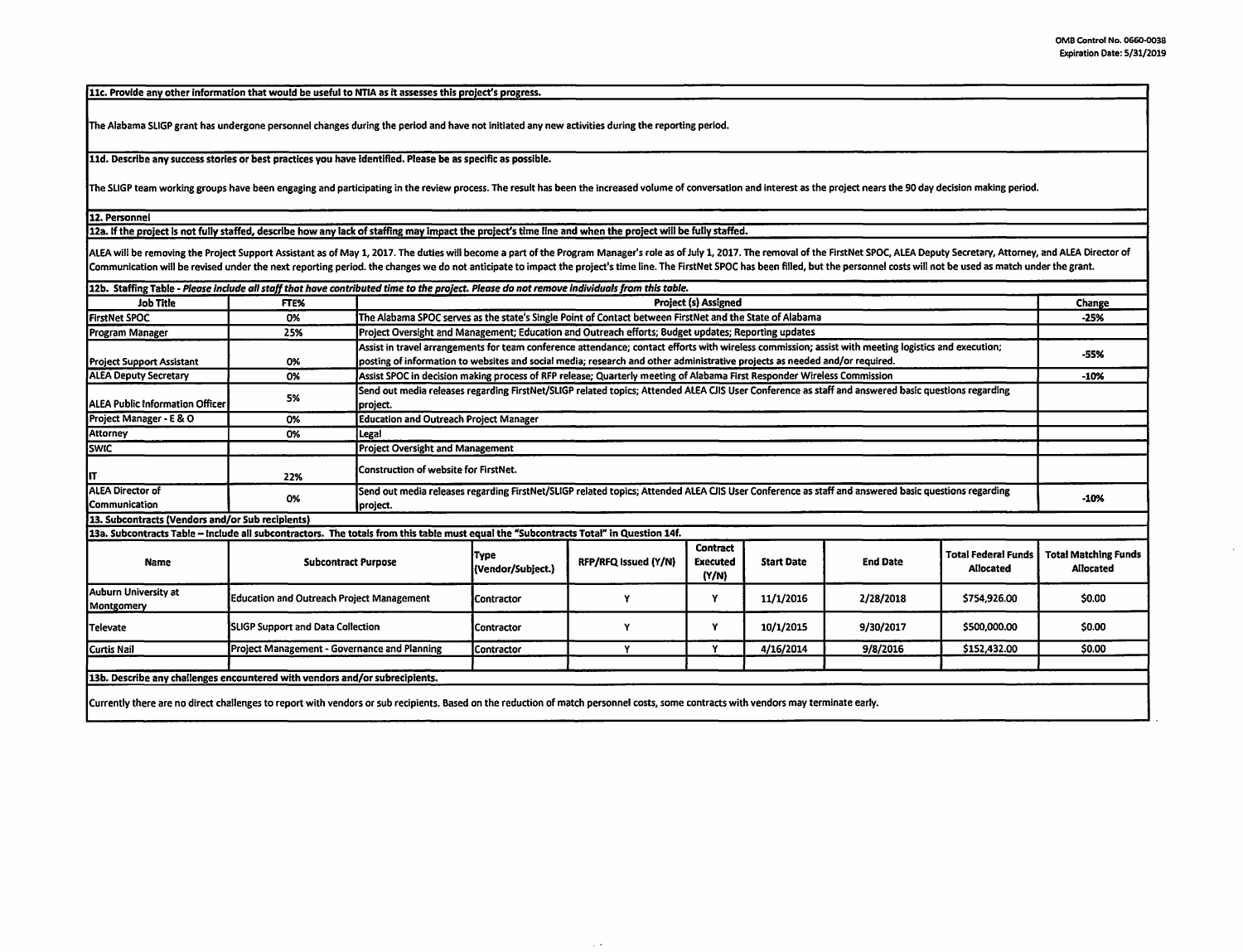11c. Provide any other information that would be useful to NTIA as it assesses this project's progress.

The Alabama SLIGP grant has undergone personnel changes during the period and have not initiated any new activities during the reporting period.

lld. Describe any success stories or best practices you have identified. Please be as specific as possible.

The SLIGP team working groups have been engaging and participating in the review process. The result has been the increased volume of conversation and interest as the project nears the 90 day decision making period.

12. Personnel

12a. If the project Is not fully staffed, describe how any lack of staffing may Impact the project's time line and when the project will be fully staffed.

ALEA will be removing the Project Support Assistant as of May 1, 2017. The duties will become a part of the Program Manager's role as of July 1, 2017. The removal of the FirstNet SPOC, ALEA Deputy Secretary, Attorney, and Communication will be revised under the next reporting period. the changes we do not anticipate to impact the project's time line. The FirstNet SPOC has been filled, but the personnel costs will not be used as match under

| 12b. Staffing Table - Please include all staff that have contributed time to the project. Please do not remove individuals from this table.                                          |                                              |                                                                                                                                                                 |                                                                                                                                                      |                      |                                      |                   |                 |                                                |                                          |
|--------------------------------------------------------------------------------------------------------------------------------------------------------------------------------------|----------------------------------------------|-----------------------------------------------------------------------------------------------------------------------------------------------------------------|------------------------------------------------------------------------------------------------------------------------------------------------------|----------------------|--------------------------------------|-------------------|-----------------|------------------------------------------------|------------------------------------------|
| Job Title                                                                                                                                                                            | FTE%                                         |                                                                                                                                                                 | <b>Project (s) Assigned</b>                                                                                                                          |                      |                                      |                   |                 |                                                | Change                                   |
| <b>FirstNet SPOC</b>                                                                                                                                                                 | 0%                                           |                                                                                                                                                                 | The Alabama SPOC serves as the state's Single Point of Contact between FirstNet and the State of Alabama                                             |                      |                                      |                   |                 |                                                | $-25%$                                   |
| Program Manager                                                                                                                                                                      | 25%                                          |                                                                                                                                                                 | Project Oversight and Management; Education and Outreach efforts; Budget updates; Reporting updates                                                  |                      |                                      |                   |                 |                                                |                                          |
|                                                                                                                                                                                      |                                              |                                                                                                                                                                 | Assist in travel arrangements for team conference attendance; contact efforts with wireless commission; assist with meeting logistics and execution; |                      |                                      |                   |                 |                                                | -55%                                     |
| <b>Project Support Assistant</b>                                                                                                                                                     | 0%                                           |                                                                                                                                                                 | posting of information to websites and social media; research and other administrative projects as needed and/or required.                           |                      |                                      |                   |                 |                                                |                                          |
| <b>JALEA Deputy Secretary</b>                                                                                                                                                        | 0%                                           |                                                                                                                                                                 | Assist SPOC in decision making process of RFP release; Quarterly meeting of Alabama First Responder Wireless Commission                              |                      |                                      |                   |                 |                                                | $-10%$                                   |
| <b>ALEA Public Information Officer</b>                                                                                                                                               | 5%                                           | project.                                                                                                                                                        | Send out media releases regarding FirstNet/SLIGP related topics; Attended ALEA CJIS User Conference as staff and answered basic questions regarding  |                      |                                      |                   |                 |                                                |                                          |
| Project Manager - E & O                                                                                                                                                              | 0%                                           |                                                                                                                                                                 | <b>Education and Outreach Project Manager</b>                                                                                                        |                      |                                      |                   |                 |                                                |                                          |
| <b>Attorney</b>                                                                                                                                                                      | 0%                                           | Legal                                                                                                                                                           |                                                                                                                                                      |                      |                                      |                   |                 |                                                |                                          |
| <b>SWIC</b>                                                                                                                                                                          |                                              |                                                                                                                                                                 | <b>Project Oversight and Management</b>                                                                                                              |                      |                                      |                   |                 |                                                |                                          |
| IT                                                                                                                                                                                   | 22%                                          |                                                                                                                                                                 | Construction of website for FirstNet.                                                                                                                |                      |                                      |                   |                 |                                                |                                          |
| <b>ALEA Director of</b><br>Communication                                                                                                                                             | 0%                                           | Send out media releases regarding FirstNet/SLIGP related topics; Attended ALEA CJIS User Conference as staff and answered basic questions regarding<br>project. |                                                                                                                                                      |                      |                                      |                   |                 | $-10%$                                         |                                          |
| 13. Subcontracts (Vendors and/or Sub recipients)                                                                                                                                     |                                              |                                                                                                                                                                 |                                                                                                                                                      |                      |                                      |                   |                 |                                                |                                          |
| 13a. Subcontracts Table – Include all subcontractors. The totals from this table must equal the "Subcontracts Total" in Question 14f.                                                |                                              |                                                                                                                                                                 |                                                                                                                                                      |                      |                                      |                   |                 |                                                |                                          |
| <b>Name</b>                                                                                                                                                                          | <b>Subcontract Purpose</b>                   |                                                                                                                                                                 | <b>Type</b><br>(Vendor/Subject.)                                                                                                                     | RFP/RFQ Issued (Y/N) | Contract<br><b>Executed</b><br>(Y/N) | <b>Start Date</b> | <b>End Date</b> | <b>Total Federal Funds</b><br><b>Allocated</b> | <b>Total Matching Funds</b><br>Allocated |
| Auburn University at<br>Montgomery                                                                                                                                                   | Education and Outreach Project Management    |                                                                                                                                                                 | <b>Contractor</b>                                                                                                                                    | Y                    | Y                                    | 11/1/2016         | 2/28/2018       | \$754,926.00                                   | \$0.00                                   |
| Televate                                                                                                                                                                             | <b>SLIGP Support and Data Collection</b>     |                                                                                                                                                                 | Contractor                                                                                                                                           | v                    | Y                                    | 10/1/2015         | 9/30/2017       | \$500,000.00                                   | \$0.00                                   |
| Curtis Nail                                                                                                                                                                          | Project Management - Governance and Planning |                                                                                                                                                                 | Contractor                                                                                                                                           | ٧                    | Y                                    | 4/16/2014         | 9/8/2016        | \$152,432.00                                   | \$0.00                                   |
|                                                                                                                                                                                      |                                              |                                                                                                                                                                 |                                                                                                                                                      |                      |                                      |                   |                 |                                                |                                          |
| 13b. Describe any challenges encountered with vendors and/or subrecipients.                                                                                                          |                                              |                                                                                                                                                                 |                                                                                                                                                      |                      |                                      |                   |                 |                                                |                                          |
| Currently there are no direct challenges to report with vendors or sub recipients. Based on the reduction of match personnel costs, some contracts with vendors may terminate early. |                                              |                                                                                                                                                                 |                                                                                                                                                      |                      |                                      |                   |                 |                                                |                                          |

 $\sim$